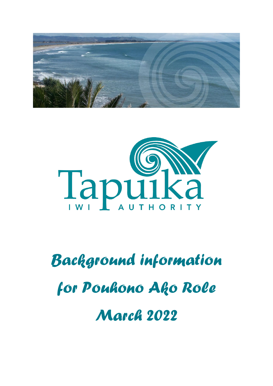



# *Background information for Pouhono Ako Role March 2022*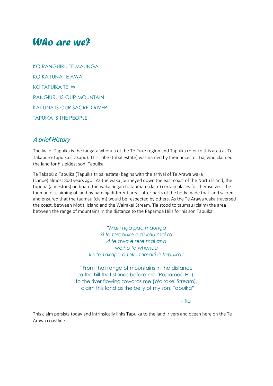## *Who are we?*

KO RANGUIRU TE MAUNGA KO KAITUNA TE AWA KO TAPUIKA TE IWI RANGIURU IS OUR MOUNTAIN KAITUNA IS OUR SACRED RIVER TAPUIKA IS THE PEOPLE

## A brief History

The Iwi of Tapuika is the tangata whenua of the Te Puke region and Tapuika refer to this area as Te Takapū-ō-Tapuika (Takapū). This rohe (tribal estate) was named by their ancestor Tia, who claimed the land for his eldest son, Tapuika.

Te Takapū o Tapuika (Tapuika tribal estate) begins with the arrival of Te Arawa waka (canoe) almost 800 years ago. As the waka journeyed down the east coast of the North Island, the tupuna (ancestors) on board the waka began to taumau (claim) certain places for themselves. The taumau or claiming of land by naming different areas after parts of the body made that land sacred and ensured that the taumau (claim) would be respected by others. As the Te Arawa waka traversed the coast, between Motiti Island and the Wairakei Stream, Tia stood to taumau (claim) the area between the range of mountains in the distance to the Papamoa Hills for his son Tapuika.

> "*Mai i ngā pae maunga ki te toropuke e tū kau mai ra ki te awa e rere mai ana waiho te whenua ko te Takapū o taku tamaiti ā Tapuika*"

"From that range of mountains in the distance to the hill that stands before me (Papamoa Hill), to the river flowing towards me (Wairakei Stream), I claim this land as the belly of my son, Tapuika"

- Tia

This claim persists today and intrinsically links Tapuika to the land, rivers and ocean here on the Te Arawa coastline.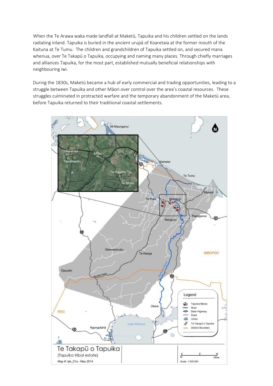When the Te Arawa waka made landfall at Maketū, Tapuika and his children settled on the lands radiating inland. Tapuika is buried in the ancient urupā of Koaretaia at the former mouth of the Kaituna at Te Tumu. The children and grandchildren of Tapuika settled on, and secured mana whenua, over Te Takapū o Tapuika, occupying and naming many places. Through chiefly marriages and alliances Tapuika, for the most part, established mutually beneficial relationships with neighbouring iwi.

During the 1830s, Maketū became a hub of early commercial and trading opportunities, leading to a struggle between Tapuika and other Māori over control over the area's coastal resources. These struggles culminated in protracted warfare and the temporary abandonment of the Maketū area, before Tapuika returned to their traditional coastal settlements.

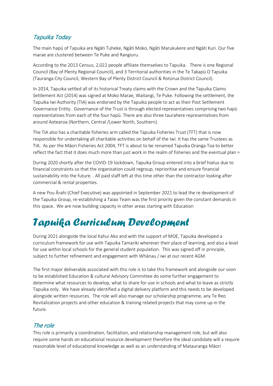## Tapuika Today

The main hapū of Tapuika are Ngāti Tuheke, Ngāti Moko, Ngāti Marukukere and Ngāti Kuri. Our five marae are clustered between Te Puke and Rangiuru.

According to the 2013 Census, 2,022 people affiliate themselves to Tapuika. There is one Regional Council (Bay of Plenty Regional Council), and 3 Territorial authorities in the Te Takapū O Tapuika (Tauranga City Council, Western Bay of Plenty District Council & Rotorua District Council).

In 2014, Tapuika settled all of its historical Treaty claims with the Crown and the Tapuika Claims Settlement Act (2014) was signed at Moko Marae, Waitangi, Te Puke. Following the settlement, the Tapuika Iwi Authority (TIA) was endorsed by the Tapuika people to act as their Post Settlement Governance Entity. Governance of the Trust is through elected representatives comprising two hapū representatives from each of the four hapū. There are also three taurahere representatives from around Aotearoa (Northern, Central /Lower North, Southern).

The TIA also has a charitable fisheries arm called the Tapuika Fisheries Trust (TFT) that is now responsible for undertaking all charitable activities on behalf of the Iwi. It has the same Trustees as TIA. As per the Māori Fisheries Act 2004, TFT is about to be renamed Tapuika Oranga Toa to better reflect the fact that it does much more than just work in the realm of fisheries and the eventual plan =

During 2020 shortly after the COVID-19 lockdown, Tapuika Group entered into a brief hiatus due to financial constraints so that the organisation could regroup, reprioritise and ensure financial sustainability into the future. . All paid staff left at this time other than the contractor looking after commercial & rental properties.

A new Pou Ārahi (Chief Executive) was appointed in September 2021 to lead the re development of the Tapuika Group, re-establishing a Taiao Team was the first priority given the constant demands in this space. We are now building capacity in other areas starting with Education

## *Tapuika Curriculum Development*

During 2021 alongside the local Kahui Ako and with the support of MOE, Tapuika developed a curriculum framework for use with Tapuika Tamariki wherever their place of learning, and also a level for use within local schools for the general student population. This was signed off in principle, subject to further refinement and engagement with Whānau / iwi at our recent AGM.

The first major deliverable associated with this role is to take this framework and alongside our soon to be established Education & cultural Advisory Committee do some further engagement to determine what resources to develop, what to share for use in schools and what to leave as strictly Tapuika only. We have already identified a digital delivery platform and this needs to be developed alongside written resources. The role will also manage our scholarship programme, any Te Reo Revitalization projects and other education & training related projects that may come up in the future.

## The role

This role is primarily a coordination, facilitation, and relationship management role, but will also require some hands on educational resource development therefore the ideal candidate will a require reasonable level of educational knowledge as well as an understanding of Matauranga Māori